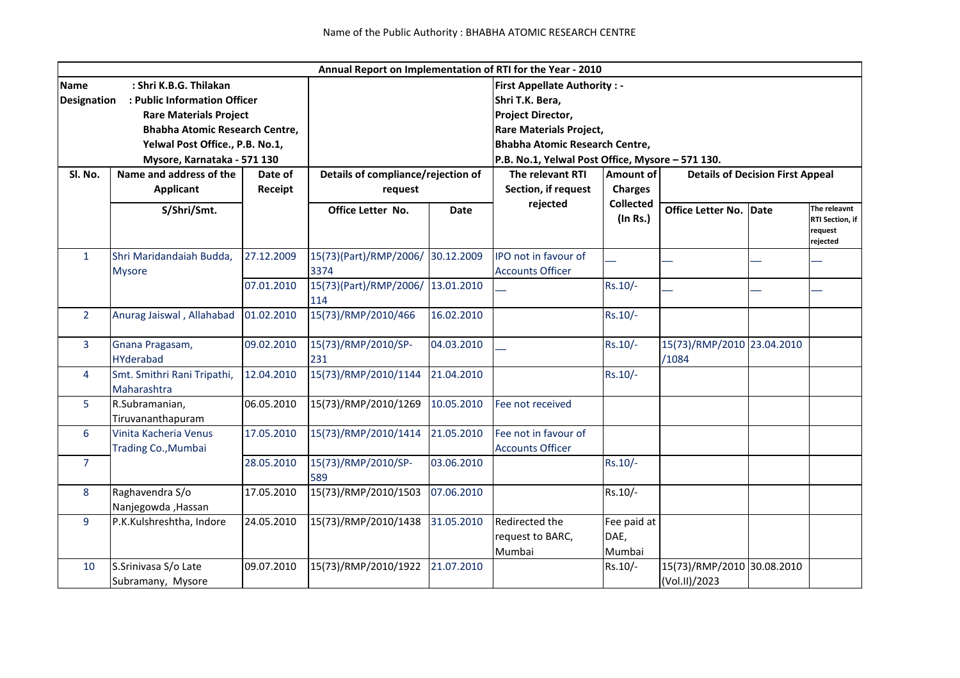| Annual Report on Implementation of RTI for the Year - 2010             |                                              |                                                                |                                |             |                                                                                                                                                                            |                               |                                             |      |                                                        |                                    |  |                                                                                 |                |  |  |  |
|------------------------------------------------------------------------|----------------------------------------------|----------------------------------------------------------------|--------------------------------|-------------|----------------------------------------------------------------------------------------------------------------------------------------------------------------------------|-------------------------------|---------------------------------------------|------|--------------------------------------------------------|------------------------------------|--|---------------------------------------------------------------------------------|----------------|--|--|--|
| : Shri K.B.G. Thilakan<br><b>Name</b>                                  |                                              |                                                                |                                |             | <b>First Appellate Authority: -</b>                                                                                                                                        |                               |                                             |      |                                                        |                                    |  |                                                                                 |                |  |  |  |
| : Public Information Officer<br><b>Designation</b>                     |                                              |                                                                |                                |             | Shri T.K. Bera,<br><b>Project Director,</b><br><b>Rare Materials Project,</b><br><b>Bhabha Atomic Research Centre,</b><br>P.B. No.1, Yelwal Post Office, Mysore - 571 130. |                               |                                             |      |                                                        |                                    |  |                                                                                 |                |  |  |  |
| <b>Rare Materials Project</b><br><b>Bhabha Atomic Research Centre,</b> |                                              |                                                                |                                |             |                                                                                                                                                                            |                               |                                             |      |                                                        |                                    |  |                                                                                 |                |  |  |  |
|                                                                        |                                              | Yelwal Post Office., P.B. No.1,<br>Mysore, Karnataka - 571 130 |                                |             |                                                                                                                                                                            |                               |                                             |      |                                                        |                                    |  |                                                                                 |                |  |  |  |
| Sl. No.                                                                | Name and address of the<br>Date of           |                                                                |                                |             |                                                                                                                                                                            |                               |                                             |      |                                                        | Details of compliance/rejection of |  | The relevant RTI<br><b>Amount of</b><br><b>Details of Decision First Appeal</b> |                |  |  |  |
|                                                                        | <b>Applicant</b><br>S/Shri/Smt.              | Receipt                                                        |                                |             |                                                                                                                                                                            |                               |                                             |      |                                                        | request                            |  | Section, if request                                                             | <b>Charges</b> |  |  |  |
|                                                                        |                                              |                                                                | Office Letter No.              | <b>Date</b> | rejected                                                                                                                                                                   | <b>Collected</b><br>(In Rs.)  | <b>Office Letter No.</b>                    | Date | The releavnt<br>RTI Section, if<br>request<br>rejected |                                    |  |                                                                                 |                |  |  |  |
| $\mathbf{1}$                                                           | Shri Maridandaiah Budda,<br><b>Mysore</b>    | 27.12.2009                                                     | 15(73)(Part)/RMP/2006/<br>3374 | 30.12.2009  | IPO not in favour of<br><b>Accounts Officer</b>                                                                                                                            |                               |                                             |      |                                                        |                                    |  |                                                                                 |                |  |  |  |
|                                                                        |                                              | 07.01.2010                                                     | 15(73)(Part)/RMP/2006/<br>114  | 13.01.2010  |                                                                                                                                                                            | Rs.10/-                       |                                             |      |                                                        |                                    |  |                                                                                 |                |  |  |  |
| $\overline{2}$                                                         | Anurag Jaiswal, Allahabad                    | 01.02.2010                                                     | 15(73)/RMP/2010/466            | 16.02.2010  |                                                                                                                                                                            | Rs.10/-                       |                                             |      |                                                        |                                    |  |                                                                                 |                |  |  |  |
| $\overline{3}$                                                         | Gnana Pragasam,<br><b>HYderabad</b>          | 09.02.2010                                                     | 15(73)/RMP/2010/SP-<br>231     | 04.03.2010  |                                                                                                                                                                            | $Rs.10/-$                     | 15(73)/RMP/2010 23.04.2010<br>/1084         |      |                                                        |                                    |  |                                                                                 |                |  |  |  |
| $\overline{4}$                                                         | Smt. Smithri Rani Tripathi,<br>Maharashtra   | 12.04.2010                                                     | 15(73)/RMP/2010/1144           | 21.04.2010  |                                                                                                                                                                            | $Rs.10/-$                     |                                             |      |                                                        |                                    |  |                                                                                 |                |  |  |  |
| 5                                                                      | R.Subramanian,<br>Tiruvananthapuram          | 06.05.2010                                                     | 15(73)/RMP/2010/1269           | 10.05.2010  | Fee not received                                                                                                                                                           |                               |                                             |      |                                                        |                                    |  |                                                                                 |                |  |  |  |
| 6                                                                      | Vinita Kacheria Venus<br>Trading Co., Mumbai | 17.05.2010                                                     | 15(73)/RMP/2010/1414           | 21.05.2010  | Fee not in favour of<br><b>Accounts Officer</b>                                                                                                                            |                               |                                             |      |                                                        |                                    |  |                                                                                 |                |  |  |  |
| $\overline{7}$                                                         |                                              | 28.05.2010                                                     | 15(73)/RMP/2010/SP-<br>589     | 03.06.2010  |                                                                                                                                                                            | Rs.10/-                       |                                             |      |                                                        |                                    |  |                                                                                 |                |  |  |  |
| 8                                                                      | Raghavendra S/o<br>Nanjegowda, Hassan        | 17.05.2010                                                     | 15(73)/RMP/2010/1503           | 07.06.2010  |                                                                                                                                                                            | Rs.10/-                       |                                             |      |                                                        |                                    |  |                                                                                 |                |  |  |  |
| 9                                                                      | P.K.Kulshreshtha, Indore                     | 24.05.2010                                                     | 15(73)/RMP/2010/1438           | 31.05.2010  | Redirected the<br>request to BARC,<br>Mumbai                                                                                                                               | Fee paid at<br>DAE,<br>Mumbai |                                             |      |                                                        |                                    |  |                                                                                 |                |  |  |  |
| 10                                                                     | S.Srinivasa S/o Late<br>Subramany, Mysore    | 09.07.2010                                                     | 15(73)/RMP/2010/1922           | 21.07.2010  |                                                                                                                                                                            | Rs.10/-                       | 15(73)/RMP/2010 30.08.2010<br>(Vol.II)/2023 |      |                                                        |                                    |  |                                                                                 |                |  |  |  |